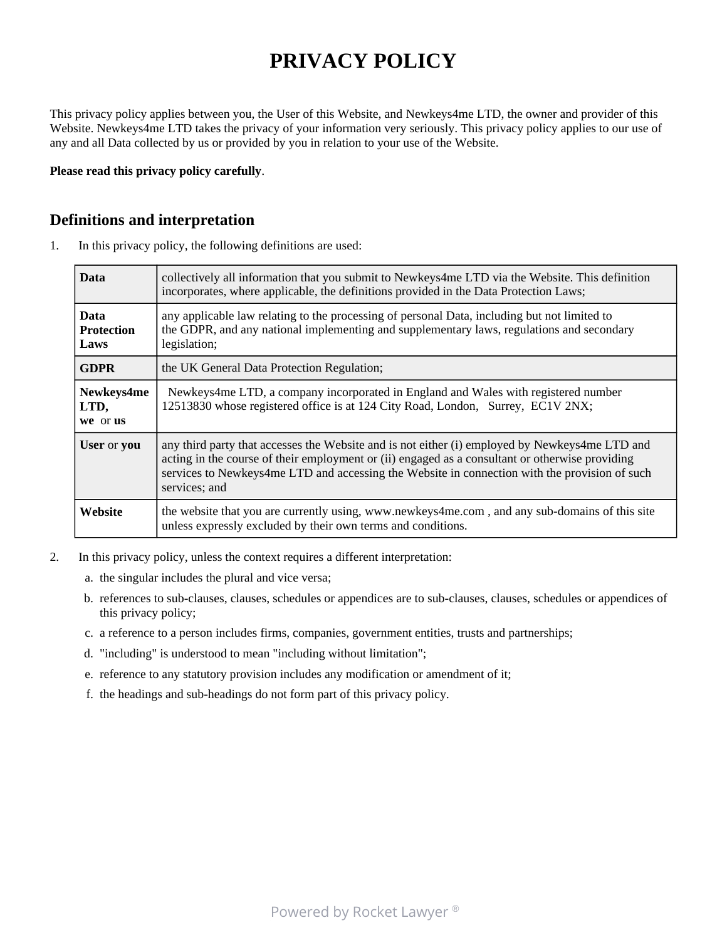# **PRIVACY POLICY**

This privacy policy applies between you, the User of this Website, and Newkeys4me LTD, the owner and provider of this Website. Newkeys4me LTD takes the privacy of your information very seriously. This privacy policy applies to our use of any and all Data collected by us or provided by you in relation to your use of the Website.

**Please read this privacy policy carefully**.

#### **Definitions and interpretation**

1. In this privacy policy, the following definitions are used:

| <b>Data</b>                              | collectively all information that you submit to Newkeys4me LTD via the Website. This definition<br>incorporates, where applicable, the definitions provided in the Data Protection Laws;                                                                                                                            |
|------------------------------------------|---------------------------------------------------------------------------------------------------------------------------------------------------------------------------------------------------------------------------------------------------------------------------------------------------------------------|
| <b>Data</b><br><b>Protection</b><br>Laws | any applicable law relating to the processing of personal Data, including but not limited to<br>the GDPR, and any national implementing and supplementary laws, regulations and secondary<br>legislation;                                                                                                           |
| <b>GDPR</b>                              | the UK General Data Protection Regulation;                                                                                                                                                                                                                                                                          |
| Newkeys4me<br>LTD,<br>we or us           | Newkeys4me LTD, a company incorporated in England and Wales with registered number<br>12513830 whose registered office is at 124 City Road, London, Surrey, EC1V 2NX;                                                                                                                                               |
| User or you                              | any third party that accesses the Website and is not either (i) employed by Newkeys4me LTD and<br>acting in the course of their employment or (ii) engaged as a consultant or otherwise providing<br>services to Newkeys4me LTD and accessing the Website in connection with the provision of such<br>services; and |
| Website                                  | the website that you are currently using, www.newkeys4me.com, and any sub-domains of this site<br>unless expressly excluded by their own terms and conditions.                                                                                                                                                      |

- 2. In this privacy policy, unless the context requires a different interpretation:
	- a. the singular includes the plural and vice versa;
	- b. references to sub-clauses, clauses, schedules or appendices are to sub-clauses, clauses, schedules or appendices of this privacy policy;
	- c. a reference to a person includes firms, companies, government entities, trusts and partnerships;
	- d. "including" is understood to mean "including without limitation";
	- e. reference to any statutory provision includes any modification or amendment of it;
	- f. the headings and sub-headings do not form part of this privacy policy.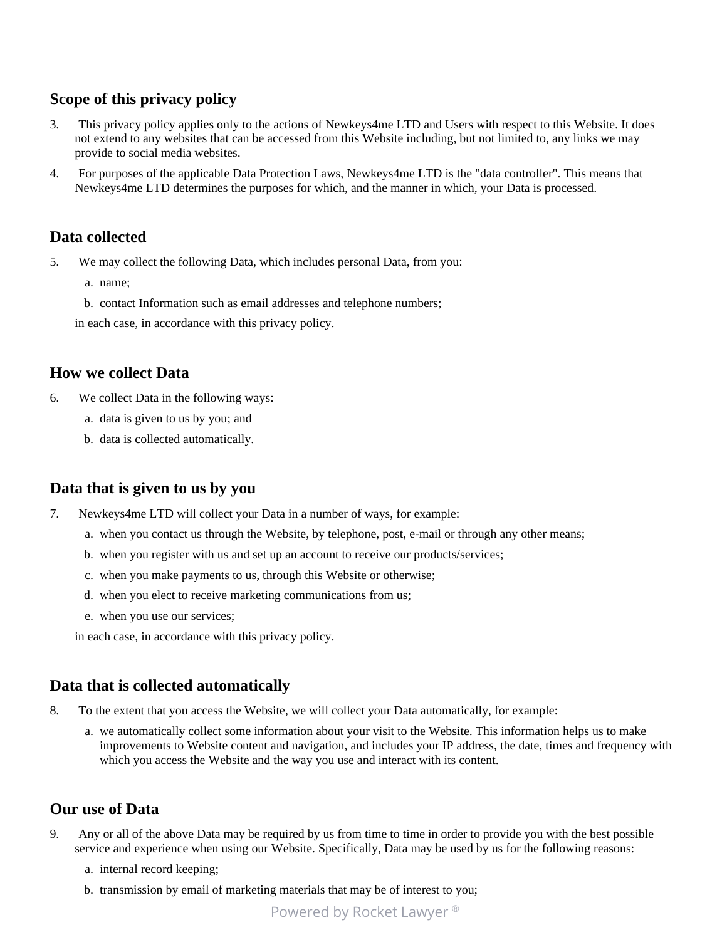# **Scope of this privacy policy**

- 3. This privacy policy applies only to the actions of Newkeys4me LTD and Users with respect to this Website. It does not extend to any websites that can be accessed from this Website including, but not limited to, any links we may provide to social media websites.
- 4. For purposes of the applicable Data Protection Laws, Newkeys4me LTD is the "data controller". This means that Newkeys4me LTD determines the purposes for which, and the manner in which, your Data is processed.

## **Data collected**

5. We may collect the following Data, which includes personal Data, from you:

- a. name;
- b. contact Information such as email addresses and telephone numbers;

in each case, in accordance with this privacy policy.

## **How we collect Data**

- 6. We collect Data in the following ways:
	- a. data is given to us by you; and
	- b. data is collected automatically.

#### **Data that is given to us by you**

- 7. Newkeys4me LTD will collect your Data in a number of ways, for example:
	- a. when you contact us through the Website, by telephone, post, e-mail or through any other means;
	- b. when you register with us and set up an account to receive our products/services;
	- c. when you make payments to us, through this Website or otherwise;
	- d. when you elect to receive marketing communications from us;
	- e. when you use our services;

in each case, in accordance with this privacy policy.

#### **Data that is collected automatically**

- 8. To the extent that you access the Website, we will collect your Data automatically, for example:
	- a. we automatically collect some information about your visit to the Website. This information helps us to make improvements to Website content and navigation, and includes your IP address, the date, times and frequency with which you access the Website and the way you use and interact with its content.

#### **Our use of Data**

- 9. Any or all of the above Data may be required by us from time to time in order to provide you with the best possible service and experience when using our Website. Specifically, Data may be used by us for the following reasons:
	- a. internal record keeping;
	- b. transmission by email of marketing materials that may be of interest to you;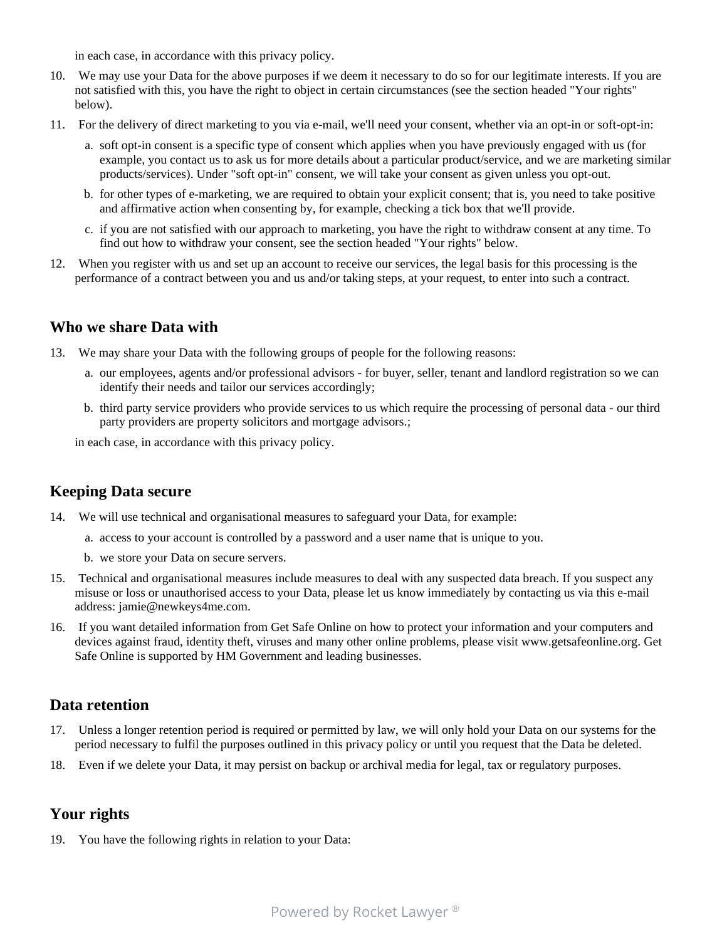in each case, in accordance with this privacy policy.

- 10. We may use your Data for the above purposes if we deem it necessary to do so for our legitimate interests. If you are not satisfied with this, you have the right to object in certain circumstances (see the section headed "Your rights" below).
- 11. For the delivery of direct marketing to you via e-mail, we'll need your consent, whether via an opt-in or soft-opt-in:
	- a. soft opt-in consent is a specific type of consent which applies when you have previously engaged with us (for example, you contact us to ask us for more details about a particular product/service, and we are marketing similar products/services). Under "soft opt-in" consent, we will take your consent as given unless you opt-out.
	- b. for other types of e-marketing, we are required to obtain your explicit consent; that is, you need to take positive and affirmative action when consenting by, for example, checking a tick box that we'll provide.
	- c. if you are not satisfied with our approach to marketing, you have the right to withdraw consent at any time. To find out how to withdraw your consent, see the section headed "Your rights" below.
- 12. When you register with us and set up an account to receive our services, the legal basis for this processing is the performance of a contract between you and us and/or taking steps, at your request, to enter into such a contract.

#### **Who we share Data with**

- 13. We may share your Data with the following groups of people for the following reasons:
	- a. our employees, agents and/or professional advisors for buyer, seller, tenant and landlord registration so we can identify their needs and tailor our services accordingly;
	- b. third party service providers who provide services to us which require the processing of personal data our third party providers are property solicitors and mortgage advisors.;

in each case, in accordance with this privacy policy.

#### **Keeping Data secure**

- 14. We will use technical and organisational measures to safeguard your Data, for example:
	- a. access to your account is controlled by a password and a user name that is unique to you.
	- b. we store your Data on secure servers.
- 15. Technical and organisational measures include measures to deal with any suspected data breach. If you suspect any misuse or loss or unauthorised access to your Data, please let us know immediately by contacting us via this e-mail address: jamie@newkeys4me.com.
- 16. If you want detailed information from Get Safe Online on how to protect your information and your computers and devices against fraud, identity theft, viruses and many other online problems, please visit www.getsafeonline.org. Get Safe Online is supported by HM Government and leading businesses.

#### **Data retention**

- 17. Unless a longer retention period is required or permitted by law, we will only hold your Data on our systems for the period necessary to fulfil the purposes outlined in this privacy policy or until you request that the Data be deleted.
- 18. Even if we delete your Data, it may persist on backup or archival media for legal, tax or regulatory purposes.

## **Your rights**

19. You have the following rights in relation to your Data: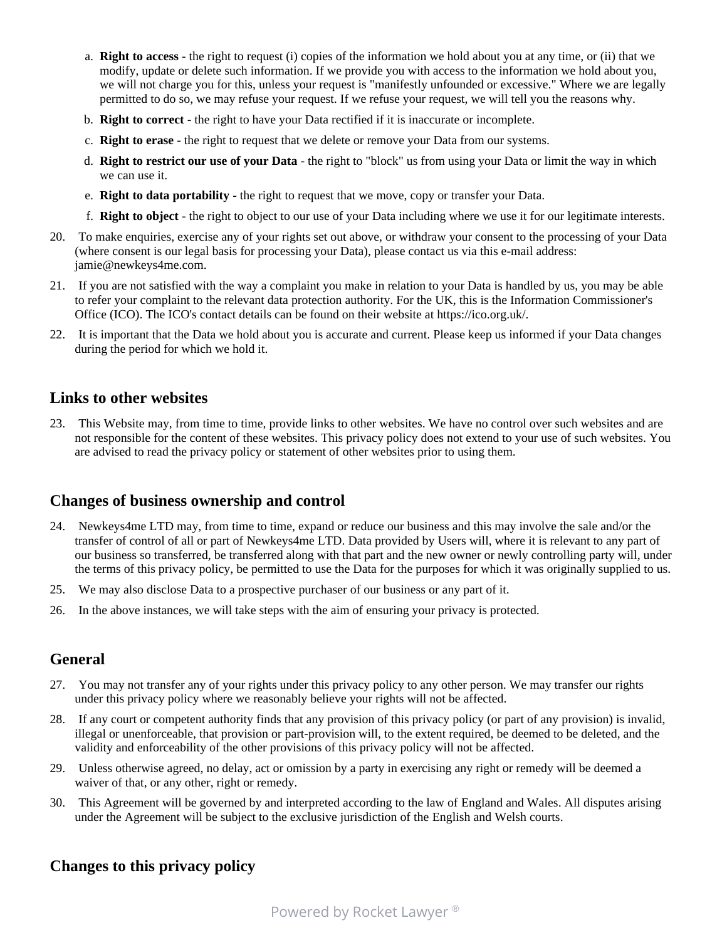- a. **Right to access** the right to request (i) copies of the information we hold about you at any time, or (ii) that we modify, update or delete such information. If we provide you with access to the information we hold about you, we will not charge you for this, unless your request is "manifestly unfounded or excessive." Where we are legally permitted to do so, we may refuse your request. If we refuse your request, we will tell you the reasons why.
- b. **Right to correct** the right to have your Data rectified if it is inaccurate or incomplete.
- c. **Right to erase** the right to request that we delete or remove your Data from our systems.
- d. **Right to restrict our use of your Data** the right to "block" us from using your Data or limit the way in which we can use it.
- e. **Right to data portability** the right to request that we move, copy or transfer your Data.
- f. **Right to object** the right to object to our use of your Data including where we use it for our legitimate interests.
- 20. To make enquiries, exercise any of your rights set out above, or withdraw your consent to the processing of your Data (where consent is our legal basis for processing your Data), please contact us via this e-mail address: jamie@newkeys4me.com.
- 21. If you are not satisfied with the way a complaint you make in relation to your Data is handled by us, you may be able to refer your complaint to the relevant data protection authority. For the UK, this is the Information Commissioner's Office (ICO). The ICO's contact details can be found on their website at https://ico.org.uk/.
- 22. It is important that the Data we hold about you is accurate and current. Please keep us informed if your Data changes during the period for which we hold it.

#### **Links to other websites**

23. This Website may, from time to time, provide links to other websites. We have no control over such websites and are not responsible for the content of these websites. This privacy policy does not extend to your use of such websites. You are advised to read the privacy policy or statement of other websites prior to using them.

## **Changes of business ownership and control**

- 24. Newkeys4me LTD may, from time to time, expand or reduce our business and this may involve the sale and/or the transfer of control of all or part of Newkeys4me LTD. Data provided by Users will, where it is relevant to any part of our business so transferred, be transferred along with that part and the new owner or newly controlling party will, under the terms of this privacy policy, be permitted to use the Data for the purposes for which it was originally supplied to us.
- 25. We may also disclose Data to a prospective purchaser of our business or any part of it.
- 26. In the above instances, we will take steps with the aim of ensuring your privacy is protected.

## **General**

- 27. You may not transfer any of your rights under this privacy policy to any other person. We may transfer our rights under this privacy policy where we reasonably believe your rights will not be affected.
- 28. If any court or competent authority finds that any provision of this privacy policy (or part of any provision) is invalid, illegal or unenforceable, that provision or part-provision will, to the extent required, be deemed to be deleted, and the validity and enforceability of the other provisions of this privacy policy will not be affected.
- 29. Unless otherwise agreed, no delay, act or omission by a party in exercising any right or remedy will be deemed a waiver of that, or any other, right or remedy.
- 30. This Agreement will be governed by and interpreted according to the law of England and Wales. All disputes arising under the Agreement will be subject to the exclusive jurisdiction of the English and Welsh courts.

## **Changes to this privacy policy**